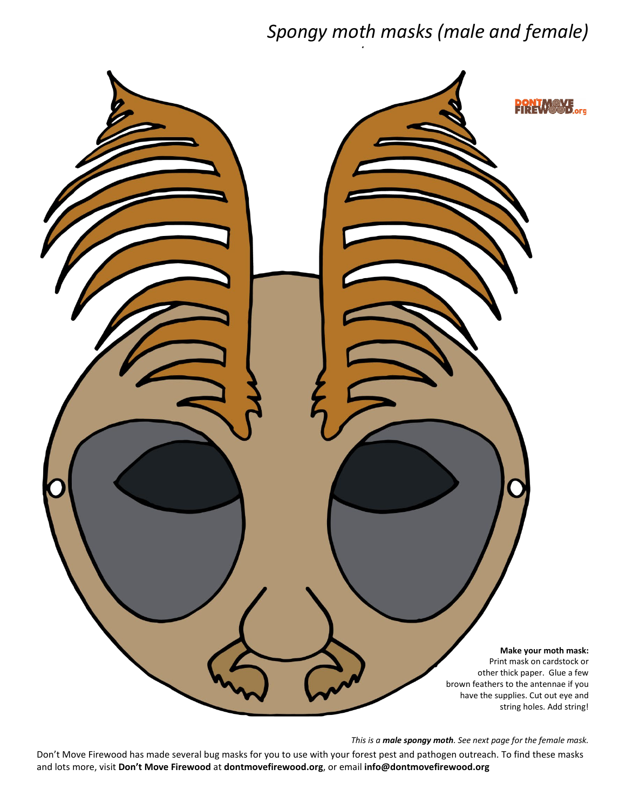## *Spongy moth masks (male and female)*



*This is a male spongy moth. See next page for the female mask.*

Don't Move Firewood has made several bug masks for you to use with your forest pest and pathogen outreach. To find these masks and lots more, visit **Don't Move Firewood** at **dontmovefirewood.org**, or email **info@dontmovefirewood.org**